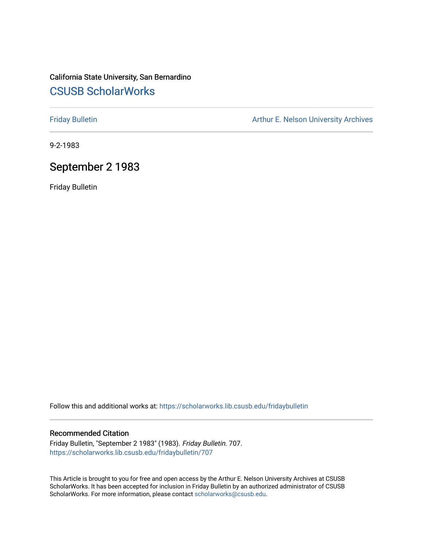# California State University, San Bernardino [CSUSB ScholarWorks](https://scholarworks.lib.csusb.edu/)

[Friday Bulletin](https://scholarworks.lib.csusb.edu/fridaybulletin) **Arthur E. Nelson University Archives** Arthur E. Nelson University Archives

9-2-1983

# September 2 1983

Friday Bulletin

Follow this and additional works at: [https://scholarworks.lib.csusb.edu/fridaybulletin](https://scholarworks.lib.csusb.edu/fridaybulletin?utm_source=scholarworks.lib.csusb.edu%2Ffridaybulletin%2F707&utm_medium=PDF&utm_campaign=PDFCoverPages)

### Recommended Citation

Friday Bulletin, "September 2 1983" (1983). Friday Bulletin. 707. [https://scholarworks.lib.csusb.edu/fridaybulletin/707](https://scholarworks.lib.csusb.edu/fridaybulletin/707?utm_source=scholarworks.lib.csusb.edu%2Ffridaybulletin%2F707&utm_medium=PDF&utm_campaign=PDFCoverPages)

This Article is brought to you for free and open access by the Arthur E. Nelson University Archives at CSUSB ScholarWorks. It has been accepted for inclusion in Friday Bulletin by an authorized administrator of CSUSB ScholarWorks. For more information, please contact [scholarworks@csusb.edu.](mailto:scholarworks@csusb.edu)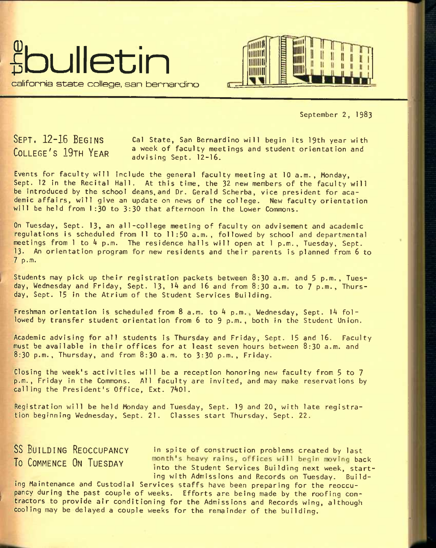



September 2, 1983

**SEPT. 12-16 BEGINS COLLEGE'S 19TH YEAR** 

Cal State, San Bernardino will begin Its 19th year with a week of faculty meetings and student orientation and advising Sept. 12-16.

Events for faculty will include the general faculty meeting at 10 a.m., Monday, Sept. 12 in the Recital Hall. At this time, the 32 new members of the faculty will be introduced by the school deans, and Dr. Gerald Scherba, vice president for academic affairs, will give an update on news of the college. New faculty orientation will be held from 1:30 to 3:30 that afternoon in the Lower Commons.

On Tuesday, Sept. 13, an all-college meeting of faculty on advisement and academic regulations Is scheduled from II to 11:50 a.m., followed by school and departmental meetings from  $l$  to  $4$  p.m. The residence halls will open at  $l$  p.m., Tuesday, Sept. 13. An orientation program for new residents and their parents is planned from 6 to 7 p.m.

Students may pick up their registration packets between 8:30 a.m. and 5 p.m., Tuesday, Wednesday and Friday, Sept. 13, 14 and 16 and from 8:30 a.m. to 7 p.m., Thursday, Sept. 15 in the Atrium of the Student Services Building.

Freshman orientation is scheduled from  $8$  a.m. to  $4$  p.m., Wednesday, Sept. 14 followed by transfer student orientation from 6 to 9 p.m.. both in the Student Union.

Academic advising for all students is Thursday and Friday, Sept. 15 and 16. Faculty must be available In their offices for at least seven hours between 8:30 a.m. and 8:30 p.m., Thursday, and from 8:30 a.m. to 3:30 p.m., Friday.

Closing the week's activities will be a reception honoring new faculty from 5 to 7 p.m., Friday in the Commons. All faculty are invited, and may make reservations by calling the President's Office, Ext. 7401.

Registration will be held Monday and Tuesday, Sept. 19 and 20, with late registration beginning Wednesday, Sept. 21. Classes start Thursday, Sept. 22.

SS BUILDING REOCCUPANCY in spite of construction problems created by last To COMMENCE ON TUESDAY *nonth's heavy rains, offices will begin moving back* into the Student Services Building next week, starting with Admissions and Records on Tuesday. Build-

ing Maintenance and Custodial Services staffs have been preparing for the reoccupancy during the past couple of weeks. Efforts are being made by the roofing contractors to provide air conditioning for the Admissions and Records wing, although cooling may be delayed a couple weeks for the remainder of the building.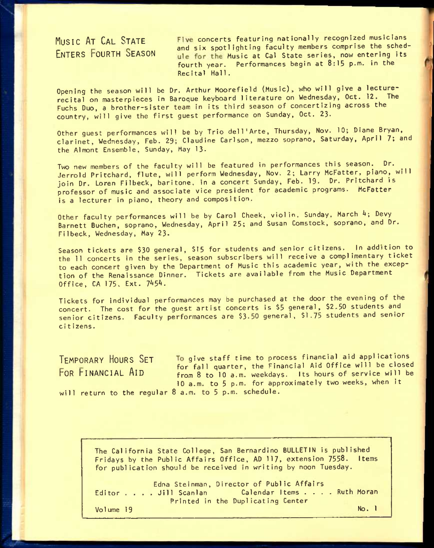MUSIC AT CAL STATE Five concerts featuring nationally recognized musicians and six spotlighting faculty members comprise the sched-**ENTERS FOURTH SEASON** and six spottly fitting receive complete the series. fourth year. Performances begin at 8:15 p.m. in the Recital Hall.

Opening the season will be Dr. Arthur Moorefield (Music), who will give a lecturerecital on masterpieces in Baroque keyboard literature on Wednesday, Oct. 12. The Fuchs Duo, a brother-sister team in its third season of concertizing across the country, will give the first guest performance on Sunday, Oct. 23-

Other guest performances will be by Trio dell'Arte, Thursday, Nov. 10; Diane Bryan, clarinet, Wednesday, Feb. 29; Claudine Carlson, mezzo soprano, Saturday. April 7; and the Almont Ensemble, Sunday, May 13.

Two new members of the faculty will be featured in performances this season. Dr. Jerrold Pritchard, flute, will perform Wednesday, Nov. 2; Larry McFatter, piano, will join Dr. Loren Filbeck, baritone, in a concert Sunday, Feb. 19. Or. Pritchard is professor of music and associate vice president for academic programs. McFatter is a lecturer in piano, theory and composition.

Other faculty performances will be by Carol Cheek, violin. Sunday, March 4; Devy Barnett Buchen, soprano, Wednesday, April 25; and Susan Comstock, soprano, and Dr. Filbeck, Wednesday, May 23.

Season tickets are \$30 general, \$15 for students and senior citizens. In addition to the 11 concerts in the series, season subscribers will receive a complimentary ticket to each concert given by the Department of Music this academic year, with the exception of the Renaissance Dinner. Tickets are available from the Music Department Office,  $CA$   $175$ ,  $Ext.$   $7454$ .

Tickets for individual performances may be purchased at the door the evening of the concert. The cost for the guest artist concerts is \$5 general, \$2.50 students and senior citizens. Faculty performances are \$3-50 general, \$1.75 students and senior citizens.

TEMPORARY HOURS SET To give staff time to process financial aid applications **FOR FINANCIAL AID For fall quarter, the Financial Aid Office will be closed**<br>FOR FINANCIAL AID **From 8** to 10 a.m. weekdays Its hours of service will be from 8 to 10 a.m. weekdays. Its hours of service will be 10 a.m. to 5 p.m. for approximately two weeks, when it will return to the regular 8 a.m. to 5 p.m. schedule.

The California State College, San Bernardino BULLETIN is published Fridays by the Public Affairs Office, AD 117, extension 7558. Items for publication should be received in writing by noon Tuesday.

Edna Stelnman, Director of Public Affairs<br>Editor ... Jill Scanlan Calendar Items .... Ruth Moran Printed in the Duplicating Center Vo1ume 19 No. 1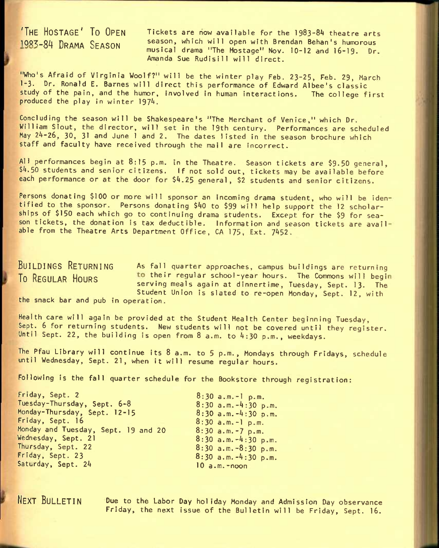**'THE HOSTAGE' TO OPEN TICKETS** are now available for the **1983-84** theatre arts 1983-84 DRAMA SEASON season, which will open with Brendan Behan's humorous musical drama "The Hostage" Nov. 10-12 and 16-19. Dr. Amanda Sue Rudisill will direct.

"Who's Afraid of Virginia Woolf?" will be the winter play Feb. 23-25, Feb. 29, March I-3. Dr. Ronald E. Barnes will direct this performance of Edward Albee's classic study of the pain, and the humor, involved in human interactions. The college first produced the play in winter 1974.

Concluding the season will be Shakespeare's "The Merchant of Venice," which Dr. William Slout, the director, will set in the 19th century. Performances are scheduled May 24-26, 30, 31 and June 1 and 2. The dates listed in the season brochure which staff and faculty have received through the mail are incorrect.

All performances begin at 8:15 p.m. in the Theatre. Season tickets are \$9.50 general,  $$4.50$  students and senior citizens. If not sold out, tickets may be available before each performance or at the door for \$4.25 general, \$2 students and senior citizens.

Persons donating \$100 or more will sponsor an incoming drama student, who will be iden tified to the sponsor. Persons donating \$40 to \$99 will help support the 12 scholarships of \$150 each which go to continuing drama students. Except for the \$9 for season tickets, the donation is tax deductible. Information and season tickets are avail able from the Theatre Arts Department Office, CA 175, Ext. 7452.

BUILDINGS RETURNING As fall quarter approaches, campus buildings are returning To REGULAR HOURS to their regular school-year hours. The Commons will begin serving meals again at dinnertime, Tuesday, Sept. I3. The Student Union is slated to re-open Monday, Sept. 12, with

the snack bar and pub in operation.

Health care will again be provided at the Student Health Center beginning Tuesday, Sept. 6 for returning students. New students will not be covered until they register. Until Sept. 22, the building is open from 8 a.m. to 4:30 p.m., weekdays.

The Pfau Library will continue its 8 a.m. to 5 p.m., Mondays through Fridays, schedule until Wednesday, Sept. 21, when it will resume regular hours.

Following is the fall quarter schedule for the Bookstore through registration:

 $8:30$  a.m.-l p.m.  $8:30$  a.m. $-4:30$  p.m.  $8:30$  a.m.  $-4:30$  p.m.  $8:30$  a.m.-l p.m.  $8:30$  a.m.-7 p.m.  $8:30$  a.m.  $-4:30$  p.m.  $8:30$  a.m.  $-8:30$  p.m.  $8:30$  a.m. $-4:30$  p.m.  $10 a.m.$ -noon

**NEXT BULLETIN** Due to the Labor Day holiday Monday and Admission Day observance Friday, the next issue of the Bulletin will be Friday, Sept. 16.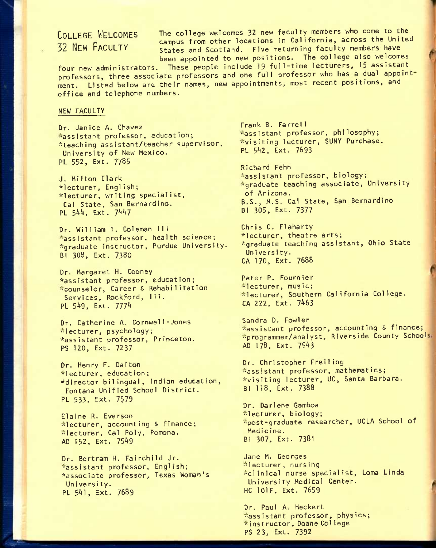**COLLEGE WELCOMES** The college welcomes **32** new faculty members who come to the EVALLAN MELANTICAL CAMPUS from other locations in California, across the United<br>32 NEW FACULTY states and Scotland Five returning faculty members have States and Scotland. Five returning faculty members have been appointed to new positions. The college also welcomes

four new administrators. These people include 19 full-time lecturers, 15 assistant professors, three associate professors and one full professor who has a dual appoint ment. Listed below are their names, new appointments, most recent positions, and office and telephone numbers.

#### NEW FACULTY

Dr. Janice A. Chavez -assistant professor, education; \*teaching assistant/teacher supervisor, University of New Mexico. PL 552, Ext. 7785

J. Milton Clark \*lecturer, English; \*lecturer, writing specialist, Cal State, San Bernardino. PL 544, Ext. 7447

Dr. William T. Coleman III -assistant professor, health science; ^graduate instructor, Purdue University. Bl 308, Ext. 7380

Dr. Margaret H. Cooney ^assistant professor, education; -counselor. Career & Rehabilitation Services, Rockford, 111. PL 549, Ext. 7774

Dr. Catherine A. Cornwel1-Jones \*lecturer, psychology; ^assistant professor, Princeton. PS 120, Ext. 7237

Dr. Henry F. Dalton -lecturer, education; ^'fdirector bilingual, Indian education, Fontana Unified School District. PL 533. Ext. 7579

Elaine R. Everson \*lecturer, accounting & finance; -lecturer, Cal Poly, Pomona. AD 152, Ext, 75^9

Dr. Bertram H. Fairchild Jr. -assistant professor, English; ^associate professor, Texas Woman's University. PL 541, Ext. 7689

Frank B. Farrel1 -assistant professor, philosophy; -visiting lecturer, SUNY Purchase. PL 5^2, Ext. 7693

Richard Fehn \*assistant professor, biology; \*graduate teaching associate, University of Arizona. B.S., M.S. Cal State, San Bernardino Bl 305, Ext. 7377

Chris C. Flaharty \*lecturer, theatre arts; \*graduate teaching assistant, Ohio State University. CA 170. Ext. **7688** 

Peter P. Fournier \*lecturer, music; "lecturer. Southern California College. CA 222, Ext. 7463

Sandra D. Fowler -assistant professor, accounting & finance; -programmer/analyst. Riverside County School AD **178,** Ext. 75^3

Dr. Christopher Freiling -assistant professor, mathemat ics; \*visiting lecturer, UC, Santa Barbara. Bl 118, Ext. 7388

Dr. Darlene Gamboa \*lecturer, biology; -post-graduate researcher, UCLA School of Medicine. EI 307, Ext. 7381

Jane M. Georges "lecturer, nursing -clinical nurse specialist, Loma Linda University Medical Center. HC lOlF, Ext. 7659

Dr. Paul A. Heckert \*assistant professor, physics; "instructor, Doane Col lege PS **23,** Ext. 7392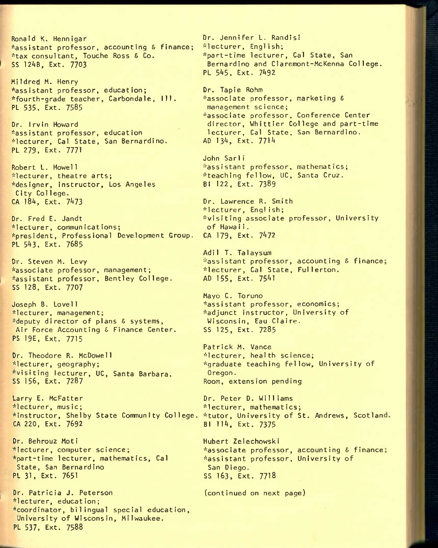Ronald K. Hennigar ^assistant professor, accounting S finance; \*tax consultant, Touche Ross & Co. SS 12AB, Ext. 7703

Mi Idred M. Henry \*assistant professor, education; '"'fourth-grade teacher, Carbondale, 111. PL 535, Ext. 7585

Dr. Irvin Howard ^assistant professor, education ^lecturer, Gal State, San Bernardino. PL 279, Ext. 7771

Robert L. Howell \*lecturer, theatre arts; ^designer, instructor, Los Angeles City College. CA 184, Ext. 7473

Dr. Fred E. Jandt ^lecturer, communications; ^president. Professional Development Group. PL 543, Ext. 7685

Or. Steven M. Levy ^associate professor, management; ^assistant professor, Bentley College. SS 128, Ext, 7707

Joseph B. Lovell \* lecturer, management; \*deputy director of plans & systems, Air Force Accounting & Finance Center. PS 19E, Ext. 7715

Or. Theodore R. McDowell  $*$  lecturer, geography; ^visiting lecturer, UC, Santa Barbara. SS 156, Ext. 7287

Larry E. McFatter ^lecturer, music; '^instructor, Shelby State Community College. CA 220, Ext. 7692

Dr. Behrouz Moti \*lecturer, computer science; \*part-time lecturer, mathematics, Cal State, San Bernardino PL 31, Ext. 7651

Dr. Patricia J. Peterson ^lecturer, education;  $\star$ coordinator, bilingual special education, University of Wisconsin, Milwaukee. PL 537. Ext. 7588

Dr. Jennifer L. Randisi '•lecturer, Engl ish; \*part-time lecturer, Cal State, San Bernardino and Claremont-McKenna College. PL 545, Ext. 7492

Dr. Tapie Rohm '^associate professor, marketing S management science; \*associate professor, Conference Center director, Whittier College and part-time lecturer, Cal State, San Bernardino. AD 134, Ext. 7714

John Sarii -'assistant professor, mathematics; \*teaching fellow, UC, Santa Cruz. Bl 122, Ext. 7389

Dr. Lawrence R. Smith '•flecturer, Engl ish;  $*$ visiting associate professor, University of HawaIi. CA 179, Ext. 7472

Adil T. Talaysum -'assistant professor, accounting S finance \*lecturer, Cal State, Fullerton. AD 155, Ext. 75^1

Mayo C. Toruno \*assistant professor, economics; \*adjunct instructor, University of Wisconsin, Eau Claire. SS 125. Ext. 7285

Patrick M. Vance '•'lecturer, health science; '^graduate teaching fellow. University of Oregon. Room, extension pending

Dr. Peter D. Williams \*lecturer, mathematics; \*tutor, University of St. Andrews, Scotland Bl 114, Ext. 7375

Hubert Zelechowski \*associate professor, accounting & finance; \*assistant professor, University of San Diego. SS 163, Ext. 7718

(continued on next page)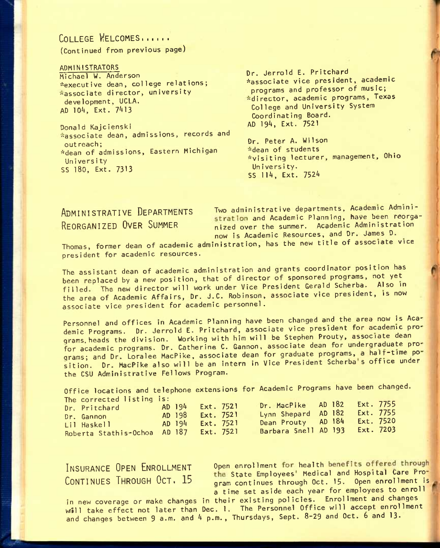# COLLEGE WELCOMES......

(Continued from previous page)

ADMINISTRATORS Michael W. Anderson ^executive dean, college relations; "associate director, university development, UCLA. AD 104, Ext. 7413

Donald Kajcienski "associate dean, admissions, records and out reach; •^dean of admissions, Eastern Michigan University SS 180, Ext. 7313

Dr. Jerrold E. Pritchard ^associate vice president, academic programs and professor of music; \*director, academic programs, Texas College and University System Coordinating Board. AD 194, Ext. 7521

Dr. Peter A. Wilson "dean of students \*vislting lecturer, management, Ohio Un ivers i ty. SS 114, Ext. 7524

ADMINISTRATIVE DEPARTMENTS Two administrative departments, Academic Administration and Academic Planning, have been reorga-REORGANIZED OVER SUMMER nized over the summer. Academic Administration now is Academic Resources, and Dr. James D.

Thomas, former dean of academic administration, has the new title of associate vice president for academic resources.

The assistant dean of academic administration and grants coordinator position has been replaced by a new position, that of director of sponsored programs, not yet filled. The new director will work under Vice President Gerald Scherba. Also in the area of Academic Affairs, Dr. J.C. Robinson, associate vice president, is now associate vice president for academic personnel.

Personnel and offices in Academic Planning have been changed and the area now is Academic Programs. Dr. Jerrold E. Pritchard, associate vice president for academic programs, heads the division. Working with him will be Stephen Prouty, associate dean for academic programs. Dr. Catherine C. Gannon, associate dean for undergraduate programs; and Dr. Loralee MacPike, associate dean for graduate programs, a half-time po sition. Dr. MacPike also will be an intern in Vice President Scherba's office under the CSU Administrative Fellows Program.

Office locations and telephone extensions for Academic Programs have been changed. The corrected listing is:

| $1110$ COTTCCCC TISCHIS TO                |                  |  |                              |  |                  |  |
|-------------------------------------------|------------------|--|------------------------------|--|------------------|--|
| Dr. Pritchard New York                    | AD 194 Ext. 7521 |  | Dr. MacPike AD 182 Ext. 7755 |  |                  |  |
|                                           |                  |  | Lynn Shepard AD 182          |  | <b>Ext. 7755</b> |  |
| Dr. Gannon                                | AD 198 Ext. 7521 |  |                              |  |                  |  |
| Lil Haskell ____________ AD 194 Ext. 7521 |                  |  | Dean Prouty AD 184           |  | Ext. 7520        |  |
|                                           |                  |  |                              |  |                  |  |
| Roberta Stathis-Ochoa AD 187 Ext. 7521    |                  |  | Barbara Snell AD 193         |  | Ext. 7203        |  |
|                                           |                  |  |                              |  |                  |  |

INSURANCE OPEN ENROLLMENT Open enrollment for health benefits offered through n 1 continued the State Employees' Medical and Hospital Care Pro-<br>CONTINUES THROUGH OCT. 15 aram continues through Oct. 15. Open enrollment is **CONTINUES THROUGH UCTi** lb gram continues through Oct. **15.** open enrollment is a time set aside each year for employees to enroll

in new coverage or make changes in their existing policies. Enrollment and changes will take effect not later than Dec. 1. The Personnel Office will accept enrollment and changes between 9 a.m. and 4 p.m., Thursdays, Sept. 8-29 and Oct. 6 and 13.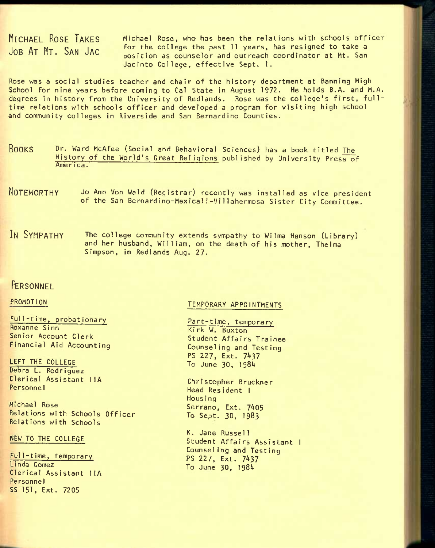**MICHAEL ROSE TAKES JOB AT MT. SAN JAG** 

Michael Rose, who has been the relations with schools officer for the college the past 11 years, has resigned to take a position as counselor and outreach coordinator at Mt. San Jacinto College, effective Sept. 1.

Rose was a social studies teacher and chair of the history department at Banning High School for nine years before coming to Gal State in August 1972. He holds B.A. and M.A. degrees in history from the University of Redlands. Rose was the college's first, fulltime relations with schools officer and developed a program for visiting high school and community colleges in Riverside and San Bernardino Counties.

- **BOOKS DT**. ward McAfee (Social and Behavioral Sciences) has a book titled The History of the World's Great Religions published by University Press of America.
- **NOTEWORTHY JO** Ann Von Wald (Reglst rar) recently was installed as vice president of the San Bernardino-Mexica1i-Vi11ahermosa Sister City Conmittee.
- IN SYMPATHY The college community extends sympathy to Wilma Hanson (Library) and her husband, William, on the death of his mother, Thelma Simpson, in Redlands Aug. 27.

## **FFEPSONNEL**

### PROMOTION

Full-time, probationary Roxanne Sinn Senior Account Clerk Financial Aid Accounting

LEFT THE COLLEGE Debra L. Rodriguez Clerical Assistant IIA Personnel

Michael Rose Relations with Schools Officer Relations with Schools

#### NEW TO THE COLLEGE

Full-t ime, temporary Linda Gomez Clerical Assistant I lA Personnel SS 151, Ext. 7205

### TEMPORARY APPOINTMENTS

Part-time, temporary Kirk W. Buxton Student Affairs Trainee Counseling and Testing PS 227, Ext. 7437 To June 30, 198^

Christopher Bruckner Head Resident 1 Nous i ng Serrano, Ext. 7405 To Sept. 30, 1983

K. Jane Russel1 Student Affairs Assistant 1 Counseling and Testing PS **227,** Ext. 7^37 To June 30, 198^